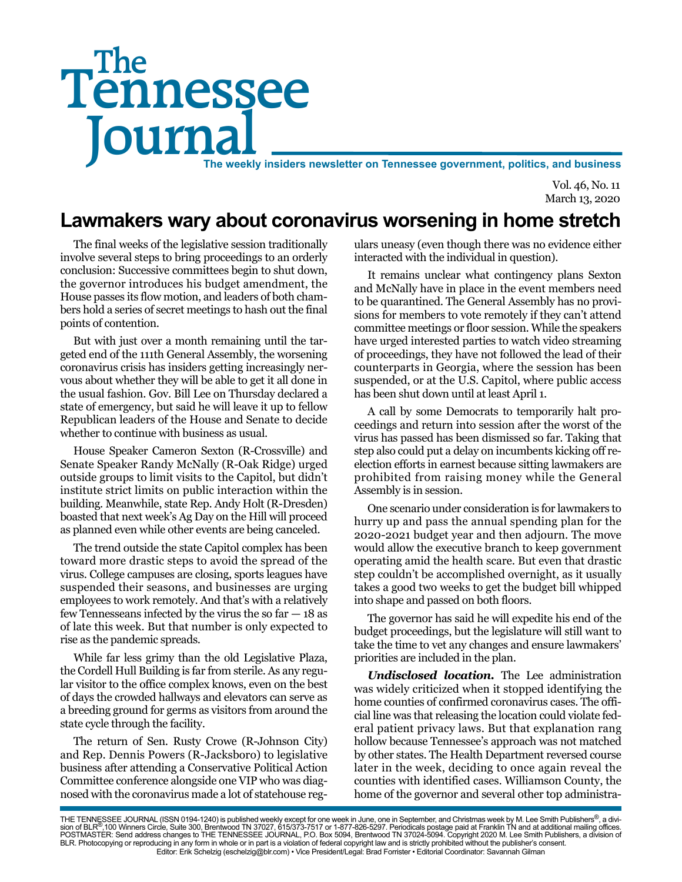# Tennessee **Journal** The weekly insiders newsletter on Tennessee government, politics, and business The

Vol. 46, No. 11 March 13, 2020

## **Lawmakers wary about coronavirus worsening in home stretch**

The final weeks of the legislative session traditionally involve several steps to bring proceedings to an orderly conclusion: Successive committees begin to shut down, the governor introduces his budget amendment, the House passes its flow motion, and leaders of both chambers hold a series of secret meetings to hash out the final points of contention.

But with just over a month remaining until the targeted end of the 111th General Assembly, the worsening coronavirus crisis has insiders getting increasingly nervous about whether they will be able to get it all done in the usual fashion. Gov. Bill Lee on Thursday declared a state of emergency, but said he will leave it up to fellow Republican leaders of the House and Senate to decide whether to continue with business as usual.

House Speaker Cameron Sexton (R-Crossville) and Senate Speaker Randy McNally (R-Oak Ridge) urged outside groups to limit visits to the Capitol, but didn't institute strict limits on public interaction within the building. Meanwhile, state Rep. Andy Holt (R-Dresden) boasted that next week's Ag Day on the Hill will proceed as planned even while other events are being canceled.

The trend outside the state Capitol complex has been toward more drastic steps to avoid the spread of the virus. College campuses are closing, sports leagues have suspended their seasons, and businesses are urging employees to work remotely. And that's with a relatively few Tennesseans infected by the virus the so  $far - 18$  as of late this week. But that number is only expected to rise as the pandemic spreads.

While far less grimy than the old Legislative Plaza, the Cordell Hull Building is far from sterile. As any regular visitor to the office complex knows, even on the best of days the crowded hallways and elevators can serve as a breeding ground for germs as visitors from around the state cycle through the facility.

The return of Sen. Rusty Crowe (R-Johnson City) and Rep. Dennis Powers (R-Jacksboro) to legislative business after attending a Conservative Political Action Committee conference alongside one VIP who was diagnosed with the coronavirus made a lot of statehouse regulars uneasy (even though there was no evidence either interacted with the individual in question).

It remains unclear what contingency plans Sexton and McNally have in place in the event members need to be quarantined. The General Assembly has no provisions for members to vote remotely if they can't attend committee meetings or floor session. While the speakers have urged interested parties to watch video streaming of proceedings, they have not followed the lead of their counterparts in Georgia, where the session has been suspended, or at the U.S. Capitol, where public access has been shut down until at least April 1.

A call by some Democrats to temporarily halt proceedings and return into session after the worst of the virus has passed has been dismissed so far. Taking that step also could put a delay on incumbents kicking off reelection efforts in earnest because sitting lawmakers are prohibited from raising money while the General Assembly is in session.

One scenario under consideration is for lawmakers to hurry up and pass the annual spending plan for the 2020-2021 budget year and then adjourn. The move would allow the executive branch to keep government operating amid the health scare. But even that drastic step couldn't be accomplished overnight, as it usually takes a good two weeks to get the budget bill whipped into shape and passed on both floors.

The governor has said he will expedite his end of the budget proceedings, but the legislature will still want to take the time to vet any changes and ensure lawmakers' priorities are included in the plan.

*Undisclosed location.* The Lee administration was widely criticized when it stopped identifying the home counties of confirmed coronavirus cases. The official line was that releasing the location could violate federal patient privacy laws. But that explanation rang hollow because Tennessee's approach was not matched by other states. The Health Department reversed course later in the week, deciding to once again reveal the counties with identified cases. Williamson County, the home of the governor and several other top administra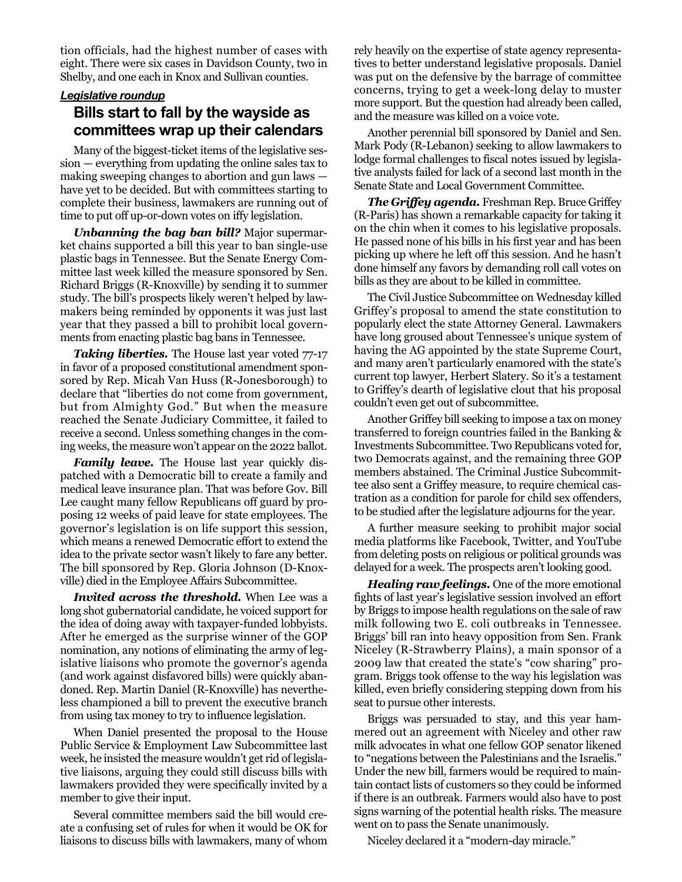tion officials, had the highest number of cases with eight. There were six cases in Davidson County, two in Shelby, and one each in Knox and Sullivan counties.

#### *Legislative roundup*

#### **Bills start to fall by the wayside as committees wrap up their calendars**

Many of the biggest-ticket items of the legislative session — everything from updating the online sales tax to making sweeping changes to abortion and gun laws have yet to be decided. But with committees starting to complete their business, lawmakers are running out of time to put off up-or-down votes on iffy legislation.

*Unbanning the bag ban bill?* Major supermarket chains supported a bill this year to ban single-use plastic bags in Tennessee. But the Senate Energy Committee last week killed the measure sponsored by Sen. Richard Briggs (R-Knoxville) by sending it to summer study. The bill's prospects likely weren't helped by lawmakers being reminded by opponents it was just last year that they passed a bill to prohibit local governments from enacting plastic bag bans in Tennessee.

**Taking liberties.** The House last year voted 77-17 in favor of a proposed constitutional amendment sponsored by Rep. Micah Van Huss (R-Jonesborough) to declare that "liberties do not come from government, but from Almighty God." But when the measure reached the Senate Judiciary Committee, it failed to receive a second. Unless something changes in the coming weeks, the measure won't appear on the 2022 ballot.

**Family leave.** The House last year quickly dispatched with a Democratic bill to create a family and medical leave insurance plan. That was before Gov. Bill Lee caught many fellow Republicans off guard by proposing 12 weeks of paid leave for state employees. The governor's legislation is on life support this session, which means a renewed Democratic effort to extend the idea to the private sector wasn't likely to fare any better. The bill sponsored by Rep. Gloria Johnson (D-Knoxville) died in the Employee Affairs Subcommittee.

*Invited across the threshold.* When Lee was a long shot gubernatorial candidate, he voiced support for the idea of doing away with taxpayer-funded lobbyists. After he emerged as the surprise winner of the GOP nomination, any notions of eliminating the army of legislative liaisons who promote the governor's agenda (and work against disfavored bills) were quickly abandoned. Rep. Martin Daniel (R-Knoxville) has nevertheless championed a bill to prevent the executive branch from using tax money to try to influence legislation.

When Daniel presented the proposal to the House Public Service & Employment Law Subcommittee last week, he insisted the measure wouldn't get rid of legislative liaisons, arguing they could still discuss bills with lawmakers provided they were specifically invited by a member to give their input.

Several committee members said the bill would create a confusing set of rules for when it would be OK for liaisons to discuss bills with lawmakers, many of whom

rely heavily on the expertise of state agency representatives to better understand legislative proposals. Daniel was put on the defensive by the barrage of committee concerns, trying to get a week-long delay to muster more support. But the question had already been called, and the measure was killed on a voice vote.

Another perennial bill sponsored by Daniel and Sen. Mark Pody (R-Lebanon) seeking to allow lawmakers to lodge formal challenges to fiscal notes issued by legislative analysts failed for lack of a second last month in the Senate State and Local Government Committee.

*The Griffey agenda.* Freshman Rep. Bruce Griffey (R-Paris) has shown a remarkable capacity for taking it on the chin when it comes to his legislative proposals. He passed none of his bills in his first year and has been picking up where he left off this session. And he hasn't done himself any favors by demanding roll call votes on bills as they are about to be killed in committee.

The Civil Justice Subcommittee on Wednesday killed Griffey's proposal to amend the state constitution to popularly elect the state Attorney General. Lawmakers have long groused about Tennessee's unique system of having the AG appointed by the state Supreme Court, and many aren't particularly enamored with the state's current top lawyer, Herbert Slatery. So it's a testament to Griffey's dearth of legislative clout that his proposal couldn't even get out of subcommittee.

Another Griffey bill seeking to impose a tax on money transferred to foreign countries failed in the Banking & Investments Subcommittee. Two Republicans voted for, two Democrats against, and the remaining three GOP members abstained. The Criminal Justice Subcommittee also sent a Griffey measure, to require chemical castration as a condition for parole for child sex offenders, to be studied after the legislature adjourns for the year.

A further measure seeking to prohibit major social media platforms like Facebook, Twitter, and YouTube from deleting posts on religious or political grounds was delayed for a week. The prospects aren't looking good.

*Healing raw feelings.* One of the more emotional fights of last year's legislative session involved an effort by Briggs to impose health regulations on the sale of raw milk following two E. coli outbreaks in Tennessee. Briggs' bill ran into heavy opposition from Sen. Frank Niceley (R-Strawberry Plains), a main sponsor of a 2009 law that created the state's "cow sharing" program. Briggs took offense to the way his legislation was killed, even briefly considering stepping down from his seat to pursue other interests.

Briggs was persuaded to stay, and this year hammered out an agreement with Niceley and other raw milk advocates in what one fellow GOP senator likened to "negations between the Palestinians and the Israelis." Under the new bill, farmers would be required to maintain contact lists of customers so they could be informed if there is an outbreak. Farmers would also have to post signs warning of the potential health risks. The measure went on to pass the Senate unanimously.

Niceley declared it a "modern-day miracle."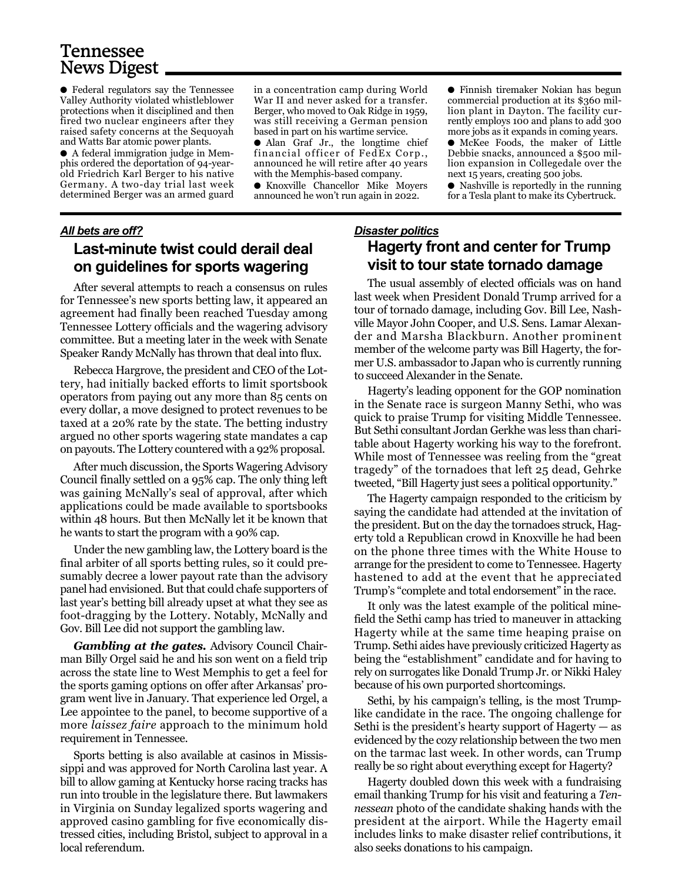### Tennessee News Digest

● Federal regulators say the Tennessee Valley Authority violated whistleblower protections when it disciplined and then fired two nuclear engineers after they raised safety concerns at the Sequoyah and Watts Bar atomic power plants.

● A federal immigration judge in Memphis ordered the deportation of 94-yearold Friedrich Karl Berger to his native Germany. A two-day trial last week determined Berger was an armed guard in a concentration camp during World War II and never asked for a transfer. Berger, who moved to Oak Ridge in 1959, was still receiving a German pension based in part on his wartime service.

● Alan Graf Jr., the longtime chief financial officer of FedEx Corp., announced he will retire after 40 years with the Memphis-based company. ● Knoxville Chancellor Mike Moyers announced he won't run again in 2022.

*All bets are off?* **Last-minute twist could derail deal on guidelines for sports wagering**

After several attempts to reach a consensus on rules for Tennessee's new sports betting law, it appeared an agreement had finally been reached Tuesday among Tennessee Lottery officials and the wagering advisory committee. But a meeting later in the week with Senate Speaker Randy McNally has thrown that deal into flux.

Rebecca Hargrove, the president and CEO of the Lottery, had initially backed efforts to limit sportsbook operators from paying out any more than 85 cents on every dollar, a move designed to protect revenues to be taxed at a 20% rate by the state. The betting industry argued no other sports wagering state mandates a cap on payouts. The Lottery countered with a 92% proposal.

After much discussion, the Sports Wagering Advisory Council finally settled on a 95% cap. The only thing left was gaining McNally's seal of approval, after which applications could be made available to sportsbooks within 48 hours. But then McNally let it be known that he wants to start the program with a 90% cap.

Under the new gambling law, the Lottery board is the final arbiter of all sports betting rules, so it could presumably decree a lower payout rate than the advisory panel had envisioned. But that could chafe supporters of last year's betting bill already upset at what they see as foot-dragging by the Lottery. Notably, McNally and Gov. Bill Lee did not support the gambling law.

*Gambling at the gates.* Advisory Council Chairman Billy Orgel said he and his son went on a field trip across the state line to West Memphis to get a feel for the sports gaming options on offer after Arkansas' program went live in January. That experience led Orgel, a Lee appointee to the panel, to become supportive of a more *laissez faire* approach to the minimum hold requirement in Tennessee.

Sports betting is also available at casinos in Mississippi and was approved for North Carolina last year. A bill to allow gaming at Kentucky horse racing tracks has run into trouble in the legislature there. But lawmakers in Virginia on Sunday legalized sports wagering and approved casino gambling for five economically distressed cities, including Bristol, subject to approval in a local referendum.

● Finnish tiremaker Nokian has begun commercial production at its \$360 million plant in Dayton. The facility currently employs 100 and plans to add 300 more jobs as it expands in coming years.

● McKee Foods, the maker of Little Debbie snacks, announced a \$500 million expansion in Collegedale over the next 15 years, creating 500 jobs.

● Nashville is reportedly in the running for a Tesla plant to make its Cybertruck.

#### *Disaster politics* **Hagerty front and center for Trump visit to tour state tornado damage**

The usual assembly of elected officials was on hand last week when President Donald Trump arrived for a tour of tornado damage, including Gov. Bill Lee, Nashville Mayor John Cooper, and U.S. Sens. Lamar Alexander and Marsha Blackburn. Another prominent member of the welcome party was Bill Hagerty, the former U.S. ambassador to Japan who is currently running to succeed Alexander in the Senate.

Hagerty's leading opponent for the GOP nomination in the Senate race is surgeon Manny Sethi, who was quick to praise Trump for visiting Middle Tennessee. But Sethi consultant Jordan Gerkhe was less than charitable about Hagerty working his way to the forefront. While most of Tennessee was reeling from the "great tragedy" of the tornadoes that left 25 dead, Gehrke tweeted, "Bill Hagerty just sees a political opportunity."

The Hagerty campaign responded to the criticism by saying the candidate had attended at the invitation of the president. But on the day the tornadoes struck, Hagerty told a Republican crowd in Knoxville he had been on the phone three times with the White House to arrange for the president to come to Tennessee. Hagerty hastened to add at the event that he appreciated Trump's "complete and total endorsement" in the race.

It only was the latest example of the political minefield the Sethi camp has tried to maneuver in attacking Hagerty while at the same time heaping praise on Trump. Sethi aides have previously criticized Hagerty as being the "establishment" candidate and for having to rely on surrogates like Donald Trump Jr. or Nikki Haley because of his own purported shortcomings.

Sethi, by his campaign's telling, is the most Trumplike candidate in the race. The ongoing challenge for Sethi is the president's hearty support of Hagerty  $-$  as evidenced by the cozy relationship between the two men on the tarmac last week. In other words, can Trump really be so right about everything except for Hagerty?

Hagerty doubled down this week with a fundraising email thanking Trump for his visit and featuring a *Tennessean* photo of the candidate shaking hands with the president at the airport. While the Hagerty email includes links to make disaster relief contributions, it also seeks donations to his campaign.